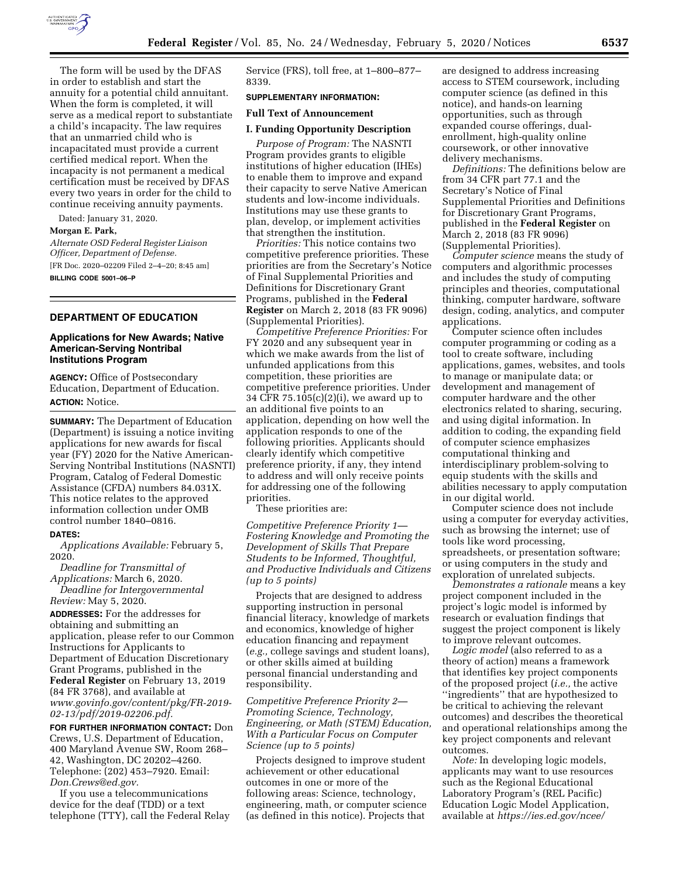

The form will be used by the DFAS in order to establish and start the annuity for a potential child annuitant. When the form is completed, it will serve as a medical report to substantiate a child's incapacity. The law requires that an unmarried child who is incapacitated must provide a current certified medical report. When the incapacity is not permanent a medical certification must be received by DFAS every two years in order for the child to continue receiving annuity payments.

Dated: January 31, 2020.

**Morgan E. Park,** 

*Alternate OSD Federal Register Liaison Officer, Department of Defense.*  [FR Doc. 2020–02209 Filed 2–4–20; 8:45 am] **BILLING CODE 5001–06–P** 

# **DEPARTMENT OF EDUCATION**

## **Applications for New Awards; Native American-Serving Nontribal Institutions Program**

**AGENCY:** Office of Postsecondary Education, Department of Education. **ACTION:** Notice.

**SUMMARY:** The Department of Education (Department) is issuing a notice inviting applications for new awards for fiscal year (FY) 2020 for the Native American-Serving Nontribal Institutions (NASNTI) Program, Catalog of Federal Domestic Assistance (CFDA) numbers 84.031X. This notice relates to the approved information collection under OMB control number 1840–0816.

#### **DATES:**

*Applications Available:* February 5, 2020.

*Deadline for Transmittal of Applications:* March 6, 2020. *Deadline for Intergovernmental* 

*Review:* May 5, 2020.

**ADDRESSES:** For the addresses for obtaining and submitting an application, please refer to our Common Instructions for Applicants to Department of Education Discretionary Grant Programs, published in the **Federal Register** on February 13, 2019 (84 FR 3768), and available at *[www.govinfo.gov/content/pkg/FR-2019-](http://www.govinfo.gov/content/pkg/FR-2019-02-13/pdf/2019-02206.pdf) [02-13/pdf/2019-02206.pdf.](http://www.govinfo.gov/content/pkg/FR-2019-02-13/pdf/2019-02206.pdf)* 

**FOR FURTHER INFORMATION CONTACT:** Don Crews, U.S. Department of Education, 400 Maryland Avenue SW, Room 268– 42, Washington, DC 20202–4260. Telephone: (202) 453–7920. Email: *[Don.Crews@ed.gov.](mailto:Don.Crews@ed.gov)* 

If you use a telecommunications device for the deaf (TDD) or a text telephone (TTY), call the Federal Relay Service (FRS), toll free, at 1–800–877– 8339.

# **SUPPLEMENTARY INFORMATION:**

## **Full Text of Announcement**

### **I. Funding Opportunity Description**

*Purpose of Program:* The NASNTI Program provides grants to eligible institutions of higher education (IHEs) to enable them to improve and expand their capacity to serve Native American students and low-income individuals. Institutions may use these grants to plan, develop, or implement activities that strengthen the institution.

*Priorities:* This notice contains two competitive preference priorities. These priorities are from the Secretary's Notice of Final Supplemental Priorities and Definitions for Discretionary Grant Programs, published in the **Federal Register** on March 2, 2018 (83 FR 9096) (Supplemental Priorities).

*Competitive Preference Priorities:* For FY 2020 and any subsequent year in which we make awards from the list of unfunded applications from this competition, these priorities are competitive preference priorities. Under 34 CFR 75.105(c)(2)(i), we award up to an additional five points to an application, depending on how well the application responds to one of the following priorities. Applicants should clearly identify which competitive preference priority, if any, they intend to address and will only receive points for addressing one of the following priorities.

These priorities are:

*Competitive Preference Priority 1— Fostering Knowledge and Promoting the Development of Skills That Prepare Students to be Informed, Thoughtful, and Productive Individuals and Citizens (up to 5 points)* 

Projects that are designed to address supporting instruction in personal financial literacy, knowledge of markets and economics, knowledge of higher education financing and repayment (*e.g.,* college savings and student loans), or other skills aimed at building personal financial understanding and responsibility.

*Competitive Preference Priority 2— Promoting Science, Technology, Engineering, or Math (STEM) Education, With a Particular Focus on Computer Science (up to 5 points)* 

Projects designed to improve student achievement or other educational outcomes in one or more of the following areas: Science, technology, engineering, math, or computer science (as defined in this notice). Projects that

are designed to address increasing access to STEM coursework, including computer science (as defined in this notice), and hands-on learning opportunities, such as through expanded course offerings, dualenrollment, high-quality online coursework, or other innovative delivery mechanisms.

*Definitions:* The definitions below are from 34 CFR part 77.1 and the Secretary's Notice of Final Supplemental Priorities and Definitions for Discretionary Grant Programs, published in the **Federal Register** on March 2, 2018 (83 FR 9096) (Supplemental Priorities).

*Computer science* means the study of computers and algorithmic processes and includes the study of computing principles and theories, computational thinking, computer hardware, software design, coding, analytics, and computer applications.

Computer science often includes computer programming or coding as a tool to create software, including applications, games, websites, and tools to manage or manipulate data; or development and management of computer hardware and the other electronics related to sharing, securing, and using digital information. In addition to coding, the expanding field of computer science emphasizes computational thinking and interdisciplinary problem-solving to equip students with the skills and abilities necessary to apply computation in our digital world.

Computer science does not include using a computer for everyday activities, such as browsing the internet; use of tools like word processing, spreadsheets, or presentation software; or using computers in the study and exploration of unrelated subjects.

*Demonstrates a rationale* means a key project component included in the project's logic model is informed by research or evaluation findings that suggest the project component is likely to improve relevant outcomes.

*Logic model* (also referred to as a theory of action) means a framework that identifies key project components of the proposed project (*i.e.,* the active ''ingredients'' that are hypothesized to be critical to achieving the relevant outcomes) and describes the theoretical and operational relationships among the key project components and relevant outcomes.

*Note:* In developing logic models, applicants may want to use resources such as the Regional Educational Laboratory Program's (REL Pacific) Education Logic Model Application, available at *[https://ies.ed.gov/ncee/](https://ies.ed.gov/ncee/edlabs/regions/pacific/elm.asp)*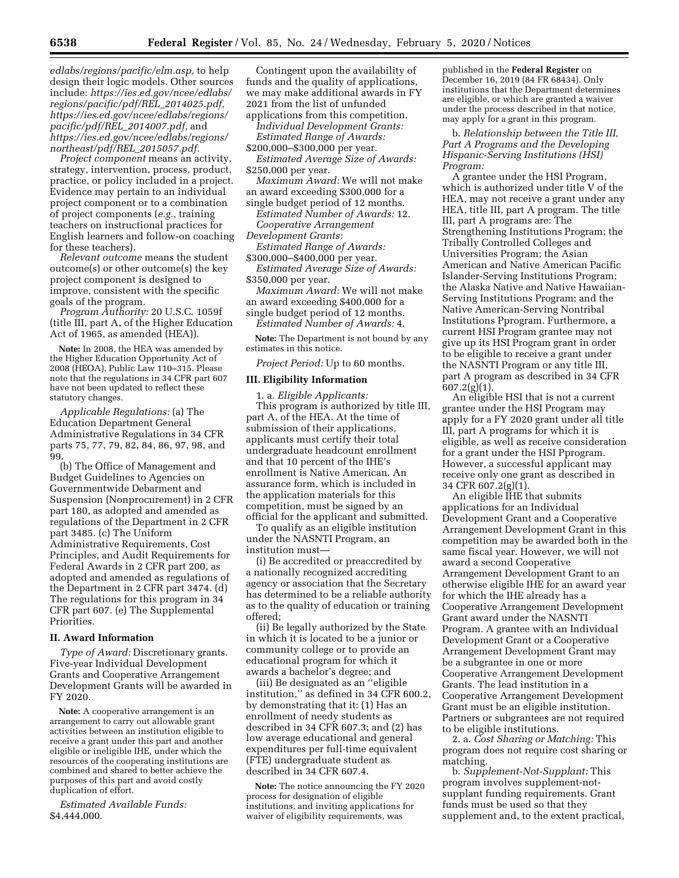*[edlabs/regions/pacific/elm.asp,](https://ies.ed.gov/ncee/edlabs/regions/pacific/elm.asp)* to help design their logic models. Other sources include: *[https://ies.ed.gov/ncee/edlabs/](https://ies.ed.gov/ncee/edlabs/regions/pacific/pdf/REL_2014025.pdf)  [regions/pacific/pdf/REL](https://ies.ed.gov/ncee/edlabs/regions/pacific/pdf/REL_2014025.pdf)*\_*2014025.pdf, [https://ies.ed.gov/ncee/edlabs/regions/](https://ies.ed.gov/ncee/edlabs/regions/pacific/pdf/REL_2014007.pdf)  [pacific/pdf/REL](https://ies.ed.gov/ncee/edlabs/regions/pacific/pdf/REL_2014007.pdf)*\_*2014007.pdf,* and *[https://ies.ed.gov/ncee/edlabs/regions/](https://ies.ed.gov/ncee/edlabs/regions/northeast/pdf/REL_2015057.pdf)  [northeast/pdf/REL](https://ies.ed.gov/ncee/edlabs/regions/northeast/pdf/REL_2015057.pdf)*\_*2015057.pdf.* 

*Project component* means an activity, strategy, intervention, process, product, practice, or policy included in a project. Evidence may pertain to an individual project component or to a combination of project components (*e.g.,* training teachers on instructional practices for English learners and follow-on coaching for these teachers).

*Relevant outcome* means the student outcome(s) or other outcome(s) the key project component is designed to improve, consistent with the specific goals of the program.

*Program Authority:* 20 U.S.C. 1059f (title III, part A, of the Higher Education Act of 1965, as amended (HEA)).

**Note:** In 2008, the HEA was amended by the Higher Education Opportunity Act of 2008 (HEOA), Public Law 110–315. Please note that the regulations in 34 CFR part 607 have not been updated to reflect these statutory changes.

*Applicable Regulations:* (a) The Education Department General Administrative Regulations in 34 CFR parts 75, 77, 79, 82, 84, 86, 97, 98, and 99.

(b) The Office of Management and Budget Guidelines to Agencies on Governmentwide Debarment and Suspension (Nonprocurement) in 2 CFR part 180, as adopted and amended as regulations of the Department in 2 CFR part 3485. (c) The Uniform Administrative Requirements, Cost Principles, and Audit Requirements for Federal Awards in 2 CFR part 200, as adopted and amended as regulations of the Department in 2 CFR part 3474. (d) The regulations for this program in 34 CFR part 607. (e) The Supplemental Priorities.

### **II. Award Information**

*Type of Award:* Discretionary grants. Five-year Individual Development Grants and Cooperative Arrangement Development Grants will be awarded in FY 2020.

**Note:** A cooperative arrangement is an arrangement to carry out allowable grant activities between an institution eligible to receive a grant under this part and another eligible or ineligible IHE, under which the resources of the cooperating institutions are combined and shared to better achieve the purposes of this part and avoid costly duplication of effort.

*Estimated Available Funds:*  \$4,444,000.

Contingent upon the availability of funds and the quality of applications, we may make additional awards in FY 2021 from the list of unfunded applications from this competition.

*Individual Development Grants: Estimated Range of Awards:* 

\$200,000–\$300,000 per year.

*Estimated Average Size of Awards:*  \$250,000 per year.

*Maximum Award:* We will not make an award exceeding \$300,000 for a

single budget period of 12 months.

*Estimated Number of Awards:* 12. *Cooperative Arrangement* 

*Development Grants: Estimated Range of Awards:* 

\$300,000–\$400,000 per year.

*Estimated Average Size of Awards:*  \$350,000 per year.

*Maximum Award:* We will not make an award exceeding \$400,000 for a single budget period of 12 months.

*Estimated Number of Awards:* 4.

**Note:** The Department is not bound by any estimates in this notice.

*Project Period:* Up to 60 months.

## **III. Eligibility Information**

1. a. *Eligible Applicants:*  This program is authorized by title III, part A, of the HEA. At the time of submission of their applications, applicants must certify their total undergraduate headcount enrollment and that 10 percent of the IHE's enrollment is Native American. An assurance form, which is included in the application materials for this competition, must be signed by an official for the applicant and submitted.

To qualify as an eligible institution under the NASNTI Program, an institution must—

(i) Be accredited or preaccredited by a nationally recognized accrediting agency or association that the Secretary has determined to be a reliable authority as to the quality of education or training offered;

(ii) Be legally authorized by the State in which it is located to be a junior or community college or to provide an educational program for which it awards a bachelor's degree; and

(iii) Be designated as an ''eligible institution,'' as defined in 34 CFR 600.2, by demonstrating that it: (1) Has an enrollment of needy students as described in 34 CFR 607.3; and (2) has low average educational and general expenditures per full-time equivalent (FTE) undergraduate student as described in 34 CFR 607.4.

**Note:** The notice announcing the FY 2020 process for designation of eligible institutions, and inviting applications for waiver of eligibility requirements, was

published in the **Federal Register** on December 16, 2019 (84 FR 68434). Only institutions that the Department determines are eligible, or which are granted a waiver under the process described in that notice, may apply for a grant in this program.

b. *Relationship between the Title III, Part A Programs and the Developing Hispanic-Serving Institutions (HSI) Program:* 

A grantee under the HSI Program, which is authorized under title V of the HEA, may not receive a grant under any HEA, title III, part A program. The title III, part A programs are: The Strengthening Institutions Program; the Tribally Controlled Colleges and Universities Program; the Asian American and Native American Pacific Islander-Serving Institutions Program; the Alaska Native and Native Hawaiian-Serving Institutions Program; and the Native American-Serving Nontribal Institutions Pprogram. Furthermore, a current HSI Program grantee may not give up its HSI Program grant in order to be eligible to receive a grant under the NASNTI Program or any title III, part A program as described in 34 CFR 607.2(g)(1).

An eligible HSI that is not a current grantee under the HSI Program may apply for a FY 2020 grant under all title III, part A programs for which it is eligible, as well as receive consideration for a grant under the HSI Pprogram. However, a successful applicant may receive only one grant as described in 34 CFR 607.2(g)(1).

An eligible IHE that submits applications for an Individual Development Grant and a Cooperative Arrangement Development Grant in this competition may be awarded both in the same fiscal year. However, we will not award a second Cooperative Arrangement Development Grant to an otherwise eligible IHE for an award year for which the IHE already has a Cooperative Arrangement Development Grant award under the NASNTI Program. A grantee with an Individual Development Grant or a Cooperative Arrangement Development Grant may be a subgrantee in one or more Cooperative Arrangement Development Grants. The lead institution in a Cooperative Arrangement Development Grant must be an eligible institution. Partners or subgrantees are not required to be eligible institutions.

2. a. *Cost Sharing or Matching:* This program does not require cost sharing or matching.

b. *Supplement-Not-Supplant:* This program involves supplement-notsupplant funding requirements. Grant funds must be used so that they supplement and, to the extent practical,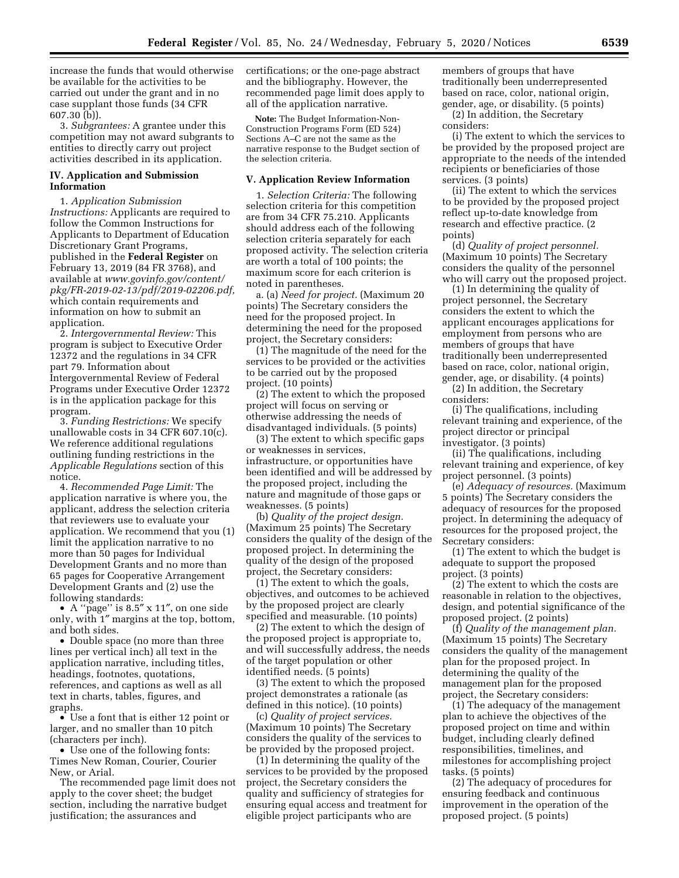increase the funds that would otherwise be available for the activities to be carried out under the grant and in no case supplant those funds (34 CFR 607.30 (b)).

3. *Subgrantees:* A grantee under this competition may not award subgrants to entities to directly carry out project activities described in its application.

## **IV. Application and Submission Information**

1. *Application Submission Instructions:* Applicants are required to follow the Common Instructions for Applicants to Department of Education Discretionary Grant Programs, published in the **Federal Register** on February 13, 2019 (84 FR 3768), and available at *[www.govinfo.gov/content/](http://www.govinfo.gov/content/pkg/FR-2019-02-13/pdf/2019-02206.pdf)  [pkg/FR-2019-02-13/pdf/2019-02206.pdf,](http://www.govinfo.gov/content/pkg/FR-2019-02-13/pdf/2019-02206.pdf)*  which contain requirements and information on how to submit an application.

2. *Intergovernmental Review:* This program is subject to Executive Order 12372 and the regulations in 34 CFR part 79. Information about Intergovernmental Review of Federal Programs under Executive Order 12372 is in the application package for this program.

3. *Funding Restrictions:* We specify unallowable costs in 34 CFR 607.10(c). We reference additional regulations outlining funding restrictions in the *Applicable Regulations* section of this notice.

4. *Recommended Page Limit:* The application narrative is where you, the applicant, address the selection criteria that reviewers use to evaluate your application. We recommend that you (1) limit the application narrative to no more than 50 pages for Individual Development Grants and no more than 65 pages for Cooperative Arrangement Development Grants and (2) use the following standards:

• A ''page'' is 8.5″ x 11″, on one side only, with 1″ margins at the top, bottom, and both sides.

• Double space (no more than three lines per vertical inch) all text in the application narrative, including titles, headings, footnotes, quotations, references, and captions as well as all text in charts, tables, figures, and graphs.

• Use a font that is either 12 point or larger, and no smaller than 10 pitch (characters per inch).

• Use one of the following fonts: Times New Roman, Courier, Courier New, or Arial.

The recommended page limit does not apply to the cover sheet; the budget section, including the narrative budget justification; the assurances and

certifications; or the one-page abstract and the bibliography. However, the recommended page limit does apply to all of the application narrative.

**Note:** The Budget Information-Non-Construction Programs Form (ED 524) Sections A–C are not the same as the narrative response to the Budget section of the selection criteria.

#### **V. Application Review Information**

1. *Selection Criteria:* The following selection criteria for this competition are from 34 CFR 75.210. Applicants should address each of the following selection criteria separately for each proposed activity. The selection criteria are worth a total of 100 points; the maximum score for each criterion is noted in parentheses.

a. (a) *Need for project.* (Maximum 20 points) The Secretary considers the need for the proposed project. In determining the need for the proposed project, the Secretary considers:

(1) The magnitude of the need for the services to be provided or the activities to be carried out by the proposed project. (10 points)

(2) The extent to which the proposed project will focus on serving or otherwise addressing the needs of disadvantaged individuals. (5 points)

(3) The extent to which specific gaps or weaknesses in services, infrastructure, or opportunities have been identified and will be addressed by the proposed project, including the nature and magnitude of those gaps or weaknesses. (5 points)

(b) *Quality of the project design.*  (Maximum 25 points) The Secretary considers the quality of the design of the proposed project. In determining the quality of the design of the proposed project, the Secretary considers:

(1) The extent to which the goals, objectives, and outcomes to be achieved by the proposed project are clearly specified and measurable. (10 points)

(2) The extent to which the design of the proposed project is appropriate to, and will successfully address, the needs of the target population or other identified needs. (5 points)

(3) The extent to which the proposed project demonstrates a rationale (as defined in this notice). (10 points)

(c) *Quality of project services.*  (Maximum 10 points) The Secretary considers the quality of the services to be provided by the proposed project.

(1) In determining the quality of the services to be provided by the proposed project, the Secretary considers the quality and sufficiency of strategies for ensuring equal access and treatment for eligible project participants who are

members of groups that have traditionally been underrepresented based on race, color, national origin, gender, age, or disability. (5 points)

(2) In addition, the Secretary considers:

(i) The extent to which the services to be provided by the proposed project are appropriate to the needs of the intended recipients or beneficiaries of those services. (3 points)

(ii) The extent to which the services to be provided by the proposed project reflect up-to-date knowledge from research and effective practice. (2 points)

(d) *Quality of project personnel.*  (Maximum 10 points) The Secretary considers the quality of the personnel who will carry out the proposed project.

(1) In determining the quality of project personnel, the Secretary considers the extent to which the applicant encourages applications for employment from persons who are members of groups that have traditionally been underrepresented based on race, color, national origin, gender, age, or disability. (4 points) (2) In addition, the Secretary

considers:

(i) The qualifications, including relevant training and experience, of the project director or principal investigator. (3 points)

(ii) The qualifications, including relevant training and experience, of key project personnel. (3 points)

(e) *Adequacy of resources.* (Maximum 5 points) The Secretary considers the adequacy of resources for the proposed project. In determining the adequacy of resources for the proposed project, the Secretary considers:

(1) The extent to which the budget is adequate to support the proposed project. (3 points)

(2) The extent to which the costs are reasonable in relation to the objectives, design, and potential significance of the proposed project. (2 points)

(f) *Quality of the management plan.*  (Maximum 15 points) The Secretary considers the quality of the management plan for the proposed project. In determining the quality of the management plan for the proposed project, the Secretary considers:

(1) The adequacy of the management plan to achieve the objectives of the proposed project on time and within budget, including clearly defined responsibilities, timelines, and milestones for accomplishing project tasks. (5 points)

(2) The adequacy of procedures for ensuring feedback and continuous improvement in the operation of the proposed project. (5 points)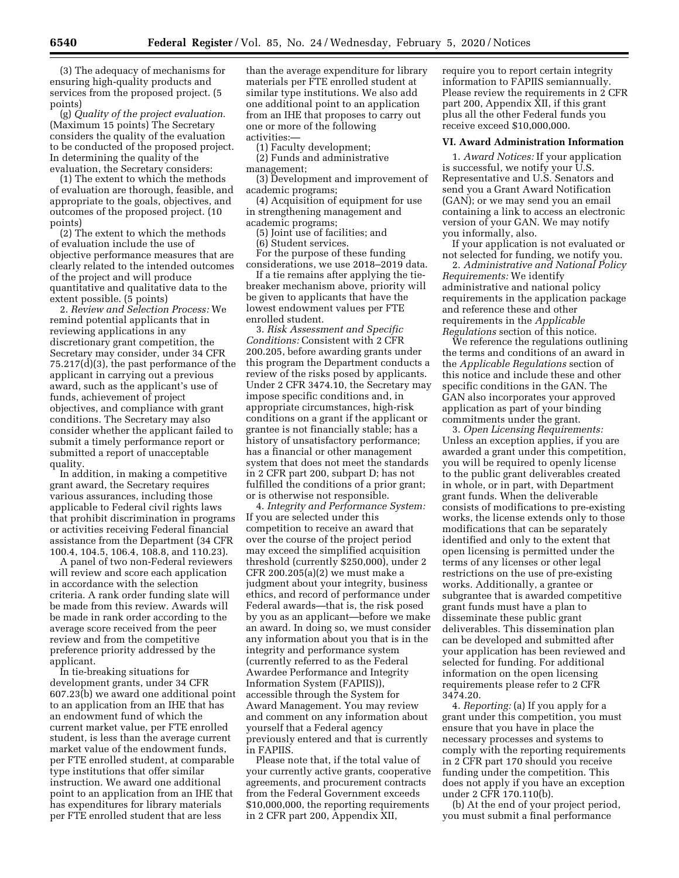(3) The adequacy of mechanisms for ensuring high-quality products and services from the proposed project. (5 points)

(g) *Quality of the project evaluation.*  (Maximum 15 points) The Secretary considers the quality of the evaluation to be conducted of the proposed project. In determining the quality of the evaluation, the Secretary considers:

(1) The extent to which the methods of evaluation are thorough, feasible, and appropriate to the goals, objectives, and outcomes of the proposed project. (10 points)

(2) The extent to which the methods of evaluation include the use of objective performance measures that are clearly related to the intended outcomes of the project and will produce quantitative and qualitative data to the extent possible. (5 points)

2. *Review and Selection Process:* We remind potential applicants that in reviewing applications in any discretionary grant competition, the Secretary may consider, under 34 CFR 75.217(d)(3), the past performance of the applicant in carrying out a previous award, such as the applicant's use of funds, achievement of project objectives, and compliance with grant conditions. The Secretary may also consider whether the applicant failed to submit a timely performance report or submitted a report of unacceptable quality.

In addition, in making a competitive grant award, the Secretary requires various assurances, including those applicable to Federal civil rights laws that prohibit discrimination in programs or activities receiving Federal financial assistance from the Department (34 CFR 100.4, 104.5, 106.4, 108.8, and 110.23).

A panel of two non-Federal reviewers will review and score each application in accordance with the selection criteria. A rank order funding slate will be made from this review. Awards will be made in rank order according to the average score received from the peer review and from the competitive preference priority addressed by the applicant.

In tie-breaking situations for development grants, under 34 CFR 607.23(b) we award one additional point to an application from an IHE that has an endowment fund of which the current market value, per FTE enrolled student, is less than the average current market value of the endowment funds, per FTE enrolled student, at comparable type institutions that offer similar instruction. We award one additional point to an application from an IHE that has expenditures for library materials per FTE enrolled student that are less

than the average expenditure for library materials per FTE enrolled student at similar type institutions. We also add one additional point to an application from an IHE that proposes to carry out one or more of the following activities:—

(1) Faculty development;

(2) Funds and administrative management;

(3) Development and improvement of academic programs;

(4) Acquisition of equipment for use in strengthening management and academic programs;

(5) Joint use of facilities; and

(6) Student services.

For the purpose of these funding considerations, we use 2018–2019 data.

If a tie remains after applying the tiebreaker mechanism above, priority will be given to applicants that have the lowest endowment values per FTE enrolled student.

3. *Risk Assessment and Specific Conditions:* Consistent with 2 CFR 200.205, before awarding grants under this program the Department conducts a review of the risks posed by applicants. Under 2 CFR 3474.10, the Secretary may impose specific conditions and, in appropriate circumstances, high-risk conditions on a grant if the applicant or grantee is not financially stable; has a history of unsatisfactory performance; has a financial or other management system that does not meet the standards in 2 CFR part 200, subpart D; has not fulfilled the conditions of a prior grant; or is otherwise not responsible.

4. *Integrity and Performance System:*  If you are selected under this competition to receive an award that over the course of the project period may exceed the simplified acquisition threshold (currently \$250,000), under 2 CFR 200.205(a)(2) we must make a judgment about your integrity, business ethics, and record of performance under Federal awards—that is, the risk posed by you as an applicant—before we make an award. In doing so, we must consider any information about you that is in the integrity and performance system (currently referred to as the Federal Awardee Performance and Integrity Information System (FAPIIS)), accessible through the System for Award Management. You may review and comment on any information about yourself that a Federal agency previously entered and that is currently in FAPIIS.

Please note that, if the total value of your currently active grants, cooperative agreements, and procurement contracts from the Federal Government exceeds \$10,000,000, the reporting requirements in 2 CFR part 200, Appendix XII,

require you to report certain integrity information to FAPIIS semiannually. Please review the requirements in 2 CFR part 200, Appendix XII, if this grant plus all the other Federal funds you receive exceed \$10,000,000.

#### **VI. Award Administration Information**

1. *Award Notices:* If your application is successful, we notify your U.S. Representative and U.S. Senators and send you a Grant Award Notification (GAN); or we may send you an email containing a link to access an electronic version of your GAN. We may notify you informally, also.

If your application is not evaluated or not selected for funding, we notify you.

2. *Administrative and National Policy Requirements:* We identify administrative and national policy requirements in the application package and reference these and other requirements in the *Applicable Regulations* section of this notice.

We reference the regulations outlining the terms and conditions of an award in the *Applicable Regulations* section of this notice and include these and other specific conditions in the GAN. The GAN also incorporates your approved application as part of your binding commitments under the grant.

3. *Open Licensing Requirements:*  Unless an exception applies, if you are awarded a grant under this competition, you will be required to openly license to the public grant deliverables created in whole, or in part, with Department grant funds. When the deliverable consists of modifications to pre-existing works, the license extends only to those modifications that can be separately identified and only to the extent that open licensing is permitted under the terms of any licenses or other legal restrictions on the use of pre-existing works. Additionally, a grantee or subgrantee that is awarded competitive grant funds must have a plan to disseminate these public grant deliverables. This dissemination plan can be developed and submitted after your application has been reviewed and selected for funding. For additional information on the open licensing requirements please refer to 2 CFR 3474.20.

4. *Reporting:* (a) If you apply for a grant under this competition, you must ensure that you have in place the necessary processes and systems to comply with the reporting requirements in 2 CFR part 170 should you receive funding under the competition. This does not apply if you have an exception under 2 CFR 170.110(b).

(b) At the end of your project period, you must submit a final performance